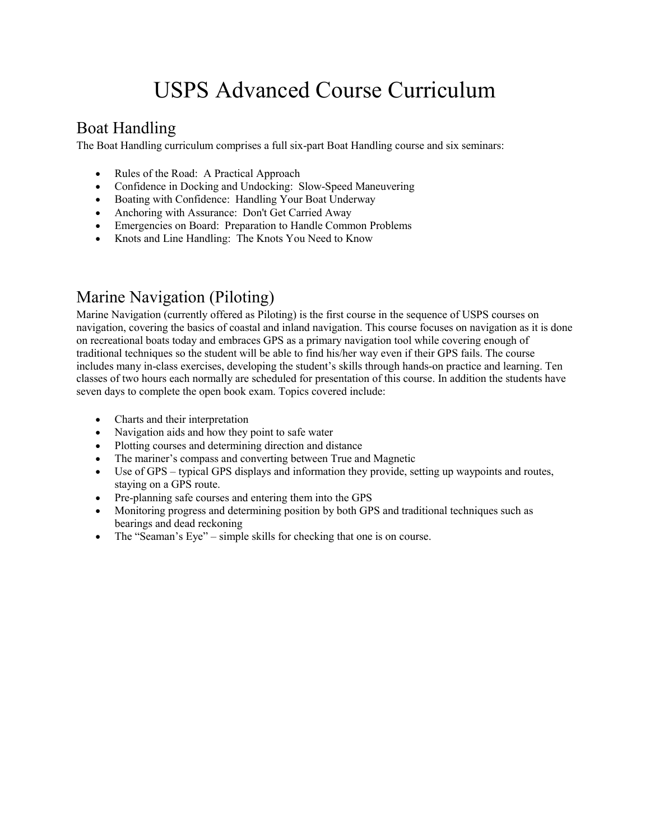# USPS Advanced Course Curriculum

## Boat Handling

The Boat Handling curriculum comprises a full six-part [Boat Handling course](https://americasboatingclub.org/courses/seamanship) and six seminars:

- Rules of the Road: A Practical Approach
- [Confidence in Docking and Undocking: Slow-Speed Maneuvering](https://americasboatingclub.org/seminars/boat-handling/confidence-in-docking-and-undocking)
- Boating with Confidence: Handling Your Boat Underway
- Anchoring with Assurance: Don't Get Carried Away
- Emergencies on Board: Preparation to Handle Common Problems
- Knots and Line Handling: The Knots You Need to Know

### Marine Navigation (Piloting)

Marine Navigation (currently offered as Piloting) is the first course in the sequence of USPS courses on navigation, covering the basics of coastal and inland navigation. This course focuses on navigation as it is done on recreational boats today and embraces GPS as a primary navigation tool while covering enough of traditional techniques so the student will be able to find his/her way even if their GPS fails. The course includes many in-class exercises, developing the student's skills through hands-on practice and learning. Ten classes of two hours each normally are scheduled for presentation of this course. In addition the students have seven days to complete the open book exam. Topics covered include:

- Charts and their interpretation
- Navigation aids and how they point to safe water
- Plotting courses and determining direction and distance
- The mariner's compass and converting between True and Magnetic
- Use of GPS typical GPS displays and information they provide, setting up waypoints and routes, staying on a GPS route.
- Pre-planning safe courses and entering them into the GPS
- Monitoring progress and determining position by both GPS and traditional techniques such as bearings and dead reckoning
- The "Seaman's Eye" simple skills for checking that one is on course.